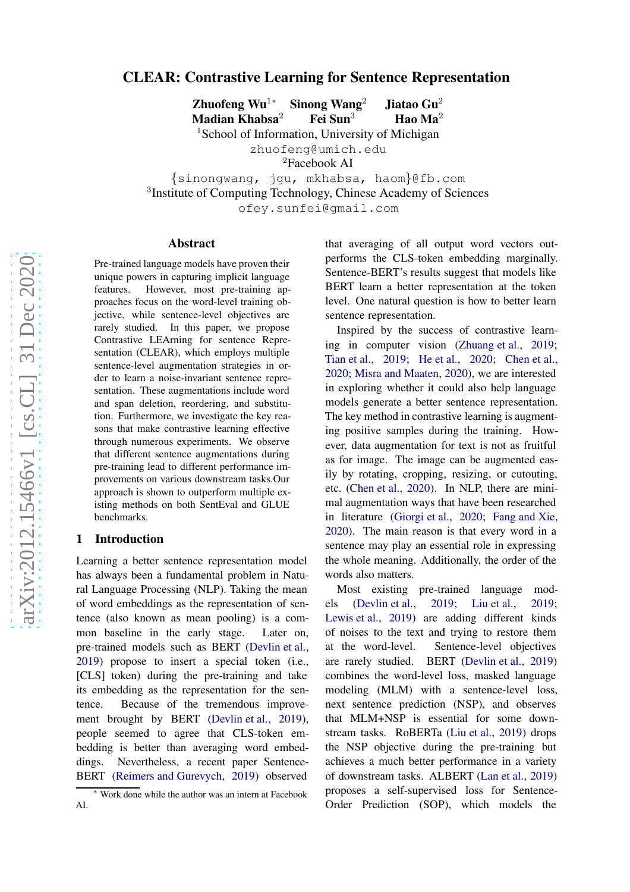# arXiv:2012.15466v1 [cs.CL] 31 Dec 2020 [arXiv:2012.15466v1 \[cs.CL\] 31 Dec 2020](http://arxiv.org/abs/2012.15466v1)

# CLEAR: Contrastive Learning for Sentence Representation

Zhuofeng  $Wu<sup>1</sup>$ Sinong Wang $2$ <sup>2</sup> Jiatao Gu<sup>2</sup> Madian Khabsa Fei Sun<sup>3</sup>  $3$  Hao Ma<sup>2</sup>

<sup>1</sup>School of Information, University of Michigan

zhuofeng@umich.edu

<sup>2</sup>Facebook AI

{sinongwang, jgu, mkhabsa, haom }@fb.com 3 Institute of Computing Technology, Chinese Academy of Sciences ofey.sunfei@gmail.com

### Abstract

Pre-trained language models have proven their unique powers in capturing implicit language features. However, most pre-training approaches focus on the word-level training objective, while sentence-level objectives are rarely studied. In this paper, we propose Contrastive LEArning for sentence Representation (CLEAR), which employs multiple sentence-level augmentation strategies in order to learn a noise-invariant sentence representation. These augmentations include word and span deletion, reordering, and substitution. Furthermore, we investigate the key reasons that make contrastive learning effective through numerous experiments. We observe that different sentence augmentations during pre-training lead to different performance improvements on various downstream tasks.Our approach is shown to outperform multiple existing methods on both SentEval and GLUE benchmarks.

### 1 Introduction

Learning a better sentence representation model has always been a fundamental problem in Natural Language Processing (NLP). Taking the mean of word embeddings as the representation of sentence (also known as mean pooling) is a common baseline in the early stage. Later on, pre-trained models such as BERT [\(Devlin et al.](#page-8-0) , [2019\)](#page-8-0) propose to insert a special token (i.e., [CLS] token) during the pre-training and take its embedding as the representation for the sentence. Because of the tremendous improvement brought by BERT [\(Devlin et al.](#page-8-0), [2019](#page-8-0)), people seemed to agree that CLS-token embedding is better than averaging word embeddings. Nevertheless, a recent paper Sentence-BERT [\(Reimers and Gurevych,](#page-9-0) [2019\)](#page-9-0) observed

that averaging of all output word vectors outperforms the CLS-token embedding marginally. Sentence-BERT's results suggest that models like BERT learn a better representation at the token level. One natural question is how to better learn sentence representation.

Inspired by the success of contrastive learning in computer vision [\(Zhuang et al.,](#page-9-1) [2019](#page-9-1); [Tian et al.](#page-9-2), [2019](#page-9-2); [He et al.](#page-8-1), [2020](#page-8-1); [Chen et al.](#page-8-2), [2020](#page-8-2) ; [Misra and Maaten](#page-8-3) , [2020\)](#page-8-3), we are interested in exploring whether it could also help language models generate a better sentence representation. The key method in contrastive learning is augmenting positive samples during the training. However, data augmentation for text is not as fruitful as for image. The image can be augmented easily by rotating, cropping, resizing, or cutouting, etc. [\(Chen et al.](#page-8-2) , [2020](#page-8-2)). In NLP, there are minimal augmentation ways that have been researched in literature [\(Giorgi et al.](#page-8-4), [2020](#page-8-4); [Fang and Xie](#page-8-5), [2020](#page-8-5)). The main reason is that every word in a sentence may play an essential role in expressing the whole meaning. Additionally, the order of the words also matters.

Most existing pre-trained language models [\(Devlin et al.](#page-8-0), [2019;](#page-8-0) [Liu et al.,](#page-8-6) [2019](#page-8-6); [Lewis et al.](#page-8-7) , [2019](#page-8-7)) are adding different kinds of noises to the text and trying to restore them at the word-level. Sentence-level objectives are rarely studied. BERT [\(Devlin et al.](#page-8-0) , [2019](#page-8-0) ) combines the word-level loss, masked language modeling (MLM) with a sentence-level loss, next sentence prediction (NSP), and observes that MLM+NSP is essential for some downstream tasks. RoBERTa [\(Liu et al.](#page-8-6), [2019](#page-8-6)) drops the NSP objective during the pre-training but achieves a much better performance in a variety of downstream tasks. ALBERT [\(Lan et al.](#page-8-8) , [2019](#page-8-8) ) proposes a self-supervised loss for Sentence-Order Prediction (SOP), which models the

Work done while the author was an intern at Facebook AI.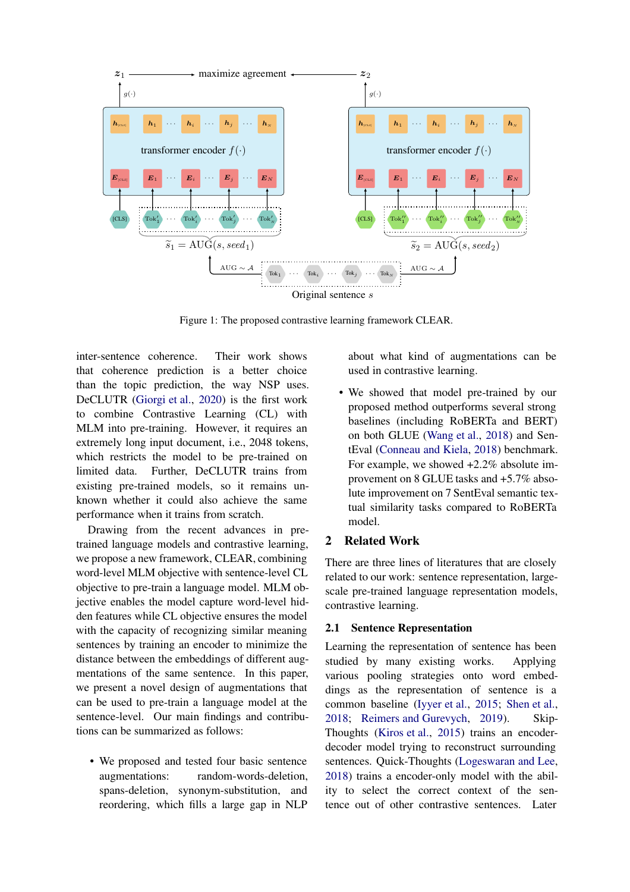<span id="page-1-0"></span>

Figure 1: The proposed contrastive learning framework CLEAR.

inter-sentence coherence. Their work shows that coherence prediction is a better choice than the topic prediction, the way NSP uses. DeCLUTR [\(Giorgi et al.,](#page-8-4) [2020](#page-8-4)) is the first work to combine Contrastive Learning (CL) with MLM into pre-training. However, it requires an extremely long input document, i.e., 2048 tokens, which restricts the model to be pre-trained on limited data. Further, DeCLUTR trains from existing pre-trained models, so it remains unknown whether it could also achieve the same performance when it trains from scratch.

Drawing from the recent advances in pretrained language models and contrastive learning, we propose a new framework, CLEAR, combining word-level MLM objective with sentence-level CL objective to pre-train a language model. MLM objective enables the model capture word-level hidden features while CL objective ensures the model with the capacity of recognizing similar meaning sentences by training an encoder to minimize the distance between the embeddings of different augmentations of the same sentence. In this paper, we present a novel design of augmentations that can be used to pre-train a language model at the sentence-level. Our main findings and contributions can be summarized as follows:

• We proposed and tested four basic sentence augmentations: random-words-deletion, spans-deletion, synonym-substitution, and reordering, which fills a large gap in NLP about what kind of augmentations can be used in contrastive learning.

• We showed that model pre-trained by our proposed method outperforms several strong baselines (including RoBERTa and BERT) on both GLUE [\(Wang et al.](#page-9-3), [2018](#page-9-3)) and SentEval [\(Conneau and Kiela](#page-8-9), [2018](#page-8-9)) benchmark. For example, we showed +2.2% absolute improvement on 8 GLUE tasks and +5.7% absolute improvement on 7 SentEval semantic textual similarity tasks compared to RoBERTa model.

## 2 Related Work

There are three lines of literatures that are closely related to our work: sentence representation, largescale pre-trained language representation models, contrastive learning.

## 2.1 Sentence Representation

Learning the representation of sentence has been studied by many existing works. Applying various pooling strategies onto word embeddings as the representation of sentence is a common baseline [\(Iyyer et al.](#page-8-10), [2015](#page-8-10); [Shen et al.](#page-9-4), [2018](#page-9-4); [Reimers and Gurevych](#page-9-0), [2019](#page-9-0)). Skip-Thoughts [\(Kiros et al.](#page-8-11), [2015](#page-8-11)) trains an encoderdecoder model trying to reconstruct surrounding sentences. Quick-Thoughts [\(Logeswaran and Lee](#page-8-12), [2018](#page-8-12)) trains a encoder-only model with the ability to select the correct context of the sentence out of other contrastive sentences. Later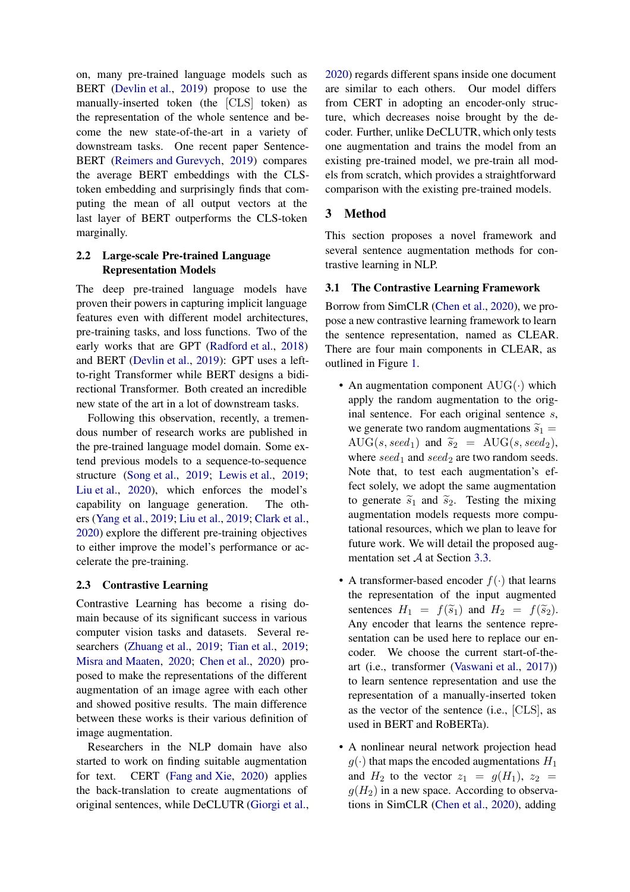on, many pre-trained language models such as BERT [\(Devlin et al.](#page-8-0), [2019](#page-8-0)) propose to use the manually-inserted token (the [CLS] token) as the representation of the whole sentence and become the new state-of-the-art in a variety of downstream tasks. One recent paper Sentence-BERT [\(Reimers and Gurevych,](#page-9-0) [2019](#page-9-0)) compares the average BERT embeddings with the CLStoken embedding and surprisingly finds that computing the mean of all output vectors at the last layer of BERT outperforms the CLS-token marginally.

# 2.2 Large-scale Pre-trained Language Representation Models

The deep pre-trained language models have proven their powers in capturing implicit language features even with different model architectures, pre-training tasks, and loss functions. Two of the early works that are GPT [\(Radford et al.](#page-9-5), [2018](#page-9-5)) and BERT [\(Devlin et al.](#page-8-0), [2019](#page-8-0)): GPT uses a leftto-right Transformer while BERT designs a bidirectional Transformer. Both created an incredible new state of the art in a lot of downstream tasks.

Following this observation, recently, a tremendous number of research works are published in the pre-trained language model domain. Some extend previous models to a sequence-to-sequence structure [\(Song et al.,](#page-9-6) [2019](#page-9-6); [Lewis et al.](#page-8-7), [2019](#page-8-7); [Liu et al.](#page-8-13), [2020\)](#page-8-13), which enforces the model's capability on language generation. The others [\(Yang et al.](#page-9-7), [2019](#page-9-7); [Liu et al.](#page-8-6), [2019](#page-8-6); [Clark et al.,](#page-8-14) [2020\)](#page-8-14) explore the different pre-training objectives to either improve the model's performance or accelerate the pre-training.

## 2.3 Contrastive Learning

Contrastive Learning has become a rising domain because of its significant success in various computer vision tasks and datasets. Several researchers [\(Zhuang et al.](#page-9-1), [2019](#page-9-1); [Tian et al.,](#page-9-2) [2019](#page-9-2); [Misra and Maaten](#page-8-3), [2020;](#page-8-3) [Chen et al.,](#page-8-2) [2020](#page-8-2)) proposed to make the representations of the different augmentation of an image agree with each other and showed positive results. The main difference between these works is their various definition of image augmentation.

Researchers in the NLP domain have also started to work on finding suitable augmentation for text. CERT [\(Fang and Xie,](#page-8-5) [2020](#page-8-5)) applies the back-translation to create augmentations of original sentences, while DeCLUTR [\(Giorgi et al.,](#page-8-4) [2020](#page-8-4)) regards different spans inside one document are similar to each others. Our model differs from CERT in adopting an encoder-only structure, which decreases noise brought by the decoder. Further, unlike DeCLUTR, which only tests one augmentation and trains the model from an existing pre-trained model, we pre-train all models from scratch, which provides a straightforward comparison with the existing pre-trained models.

# 3 Method

This section proposes a novel framework and several sentence augmentation methods for contrastive learning in NLP.

# 3.1 The Contrastive Learning Framework

Borrow from SimCLR [\(Chen et al.](#page-8-2), [2020](#page-8-2)), we propose a new contrastive learning framework to learn the sentence representation, named as CLEAR. There are four main components in CLEAR, as outlined in Figure [1.](#page-1-0)

- An augmentation component  $\text{AUG}(\cdot)$  which apply the random augmentation to the original sentence. For each original sentence s, we generate two random augmentations  $\widetilde{s}_1$  =  $\text{AUG}(s, seed_1)$  and  $\widetilde{s}_2 = \text{AUG}(s, seed_2),$ where  $seed_1$  and  $seed_2$  are two random seeds. Note that, to test each augmentation's effect solely, we adopt the same augmentation to generate  $\tilde{s}_1$  and  $\tilde{s}_2$ . Testing the mixing augmentation models requests more computational resources, which we plan to leave for future work. We will detail the proposed augmentation set A at Section [3.3.](#page-4-0)
- A transformer-based encoder  $f(\cdot)$  that learns the representation of the input augmented sentences  $H_1 = f(\tilde{s}_1)$  and  $H_2 = f(\tilde{s}_2)$ . Any encoder that learns the sentence representation can be used here to replace our encoder. We choose the current start-of-theart (i.e., transformer [\(Vaswani et al.,](#page-9-8) [2017](#page-9-8))) to learn sentence representation and use the representation of a manually-inserted token as the vector of the sentence (i.e., [CLS], as used in BERT and RoBERTa).
- A nonlinear neural network projection head  $g(\cdot)$  that maps the encoded augmentations  $H_1$ and  $H_2$  to the vector  $z_1 = g(H_1)$ ,  $z_2 =$  $g(H_2)$  in a new space. According to observations in SimCLR [\(Chen et al.](#page-8-2), [2020](#page-8-2)), adding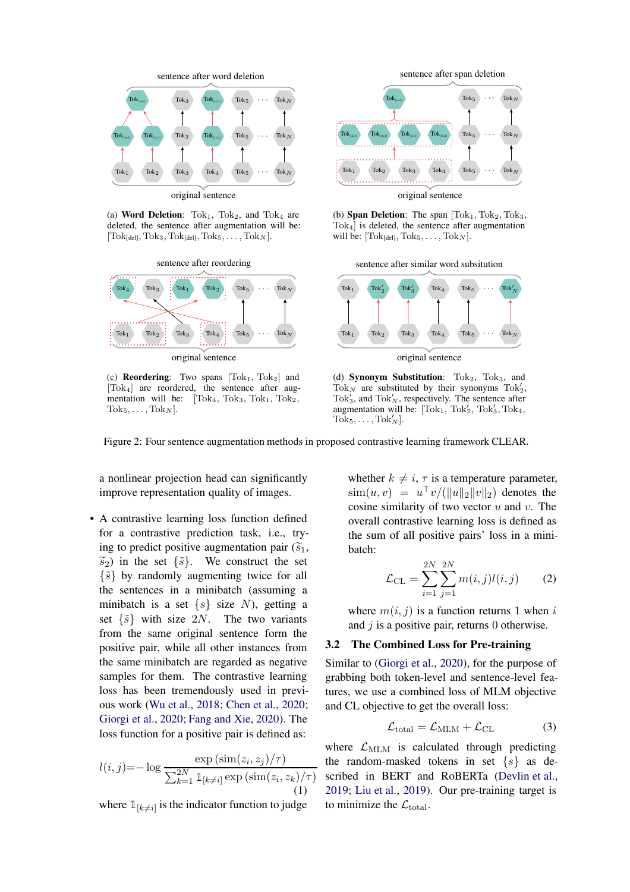<span id="page-3-0"></span>

(a) Word Deletion:  $Tok<sub>1</sub>$ ,  $Tok<sub>2</sub>$ , and  $Tok<sub>4</sub>$  are deleted, the sentence after augmentation will be:  $[\text{Tok}_{[del]}, \text{Tok}_3, \text{Tok}_{[del]}, \text{Tok}_5, \ldots, \text{Tok}_N].$ 



(c) **Reordering**: Two spans  $[Tok_1, Tok_2]$  and [Tok4] are reordered, the sentence after augmentation will be:  $[Tok<sub>4</sub>, Tok<sub>3</sub>, Tok<sub>1</sub>, Tok<sub>2</sub>,$  $Tok_5, \ldots, Tok_N$ .



(b) Span Deletion: The span  $[Tok<sub>1</sub>, Tok<sub>2</sub>, Tok<sub>3</sub>]$ Tok4] is deleted, the sentence after augmentation will be:  $[\text{Tok}_{[del]}, \text{Tok}_5, \dots, \text{Tok}_N]$ .

sentence after similar word subsitution



original sentence

(d) Synonym Substitution:  $Tok<sub>2</sub>$ ,  $Tok<sub>3</sub>$ , and Tok<sub>N</sub> are substituted by their synonyms  $T$ ok<sup>'</sup><sub>2</sub>,  $Tok'_3$ , and  $Tok'_N$ , respectively. The sentence after augmentation will be:  $[Tok_1, Tok'_2, Tok'_3, Tok_4,$  $\text{Tok}_5, \ldots, \text{Tok}_N'.$ 

Figure 2: Four sentence augmentation methods in proposed contrastive learning framework CLEAR.

a nonlinear projection head can significantly improve representation quality of images.

• A contrastive learning loss function defined for a contrastive prediction task, i.e., trying to predict positive augmentation pair  $(\widetilde{s}_1,$  $\widetilde{s}_2$ ) in the set  $\{\widetilde{s}\}$ . We construct the set  $\{\tilde{s}\}\$  by randomly augmenting twice for all the sentences in a minibatch (assuming a minibatch is a set  $\{s\}$  size N), getting a set  $\{\tilde{s}\}$  with size 2N. The two variants from the same original sentence form the positive pair, while all other instances from the same minibatch are regarded as negative samples for them. The contrastive learning loss has been tremendously used in previous work [\(Wu et al.](#page-9-9), [2018](#page-9-9); [Chen et al.,](#page-8-2) [2020](#page-8-2); [Giorgi et al.](#page-8-4), [2020;](#page-8-4) [Fang and Xie,](#page-8-5) [2020\)](#page-8-5). The loss function for a positive pair is defined as:

$$
l(i,j) = -\log \frac{\exp\left(\operatorname{sim}(z_i, z_j)/\tau\right)}{\sum_{k=1}^{2N} \mathbb{1}_{[k \neq i]} \exp\left(\operatorname{sim}(z_i, z_k)/\tau\right)}
$$
\n(1)

where  $\mathbb{1}_{[k \neq i]}$  is the indicator function to judge

whether  $k \neq i$ ,  $\tau$  is a temperature parameter,  $\operatorname{sim}(u, v) = u^{\top}v/(\|u\|_2\|v\|_2)$  denotes the cosine similarity of two vector  $u$  and  $v$ . The overall contrastive learning loss is defined as the sum of all positive pairs' loss in a minibatch:

$$
\mathcal{L}_{\text{CL}} = \sum_{i=1}^{2N} \sum_{j=1}^{2N} m(i,j)l(i,j) \qquad (2)
$$

where  $m(i, j)$  is a function returns 1 when i and  $j$  is a positive pair, returns 0 otherwise.

### 3.2 The Combined Loss for Pre-training

Similar to [\(Giorgi et al.,](#page-8-4) [2020](#page-8-4)), for the purpose of grabbing both token-level and sentence-level features, we use a combined loss of MLM objective and CL objective to get the overall loss:

$$
\mathcal{L}_{\text{total}} = \mathcal{L}_{\text{MLM}} + \mathcal{L}_{\text{CL}} \tag{3}
$$

where  $\mathcal{L}_{MLM}$  is calculated through predicting the random-masked tokens in set  $\{s\}$  as described in BERT and RoBERTa [\(Devlin et al.](#page-8-0), [2019](#page-8-0); [Liu et al.,](#page-8-6) [2019](#page-8-6)). Our pre-training target is to minimize the  $\mathcal{L}_{total}$ .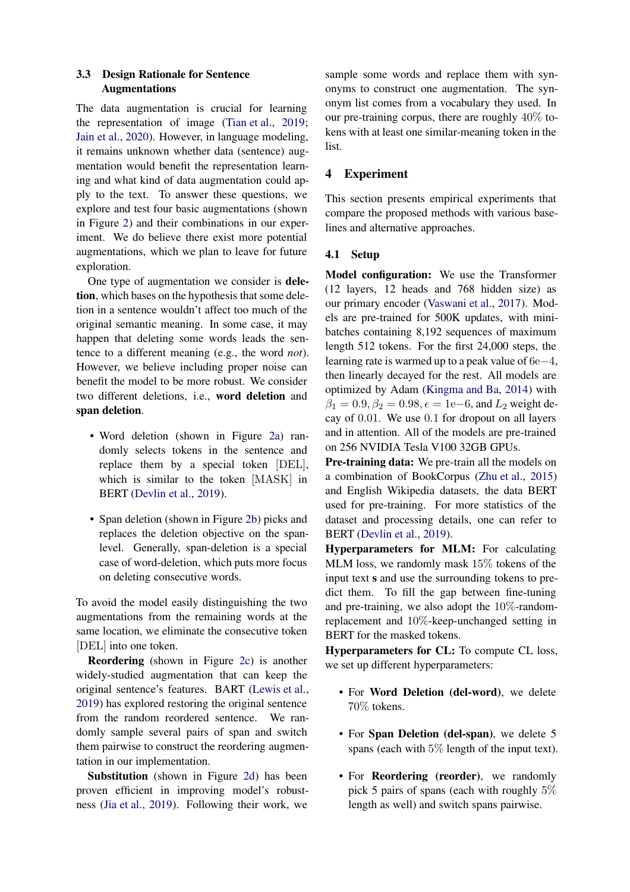### <span id="page-4-0"></span>3.3 Design Rationale for Sentence Augmentations

The data augmentation is crucial for learning the representation of image [\(Tian et al.,](#page-9-2) [2019](#page-9-2); [Jain et al.](#page-8-15), [2020](#page-8-15)). However, in language modeling, it remains unknown whether data (sentence) augmentation would benefit the representation learning and what kind of data augmentation could apply to the text. To answer these questions, we explore and test four basic augmentations (shown in Figure [2\)](#page-3-0) and their combinations in our experiment. We do believe there exist more potential augmentations, which we plan to leave for future exploration.

One type of augmentation we consider is deletion, which bases on the hypothesis that some deletion in a sentence wouldn't affect too much of the original semantic meaning. In some case, it may happen that deleting some words leads the sentence to a different meaning (e.g., the word *not*). However, we believe including proper noise can benefit the model to be more robust. We consider two different deletions, i.e., word deletion and span deletion.

- Word deletion (shown in Figure [2a\)](#page-3-0) randomly selects tokens in the sentence and replace them by a special token [DEL], which is similar to the token [MASK] in BERT [\(Devlin et al.,](#page-8-0) [2019](#page-8-0)).
- Span deletion (shown in Figure [2b\)](#page-3-0) picks and replaces the deletion objective on the spanlevel. Generally, span-deletion is a special case of word-deletion, which puts more focus on deleting consecutive words.

To avoid the model easily distinguishing the two augmentations from the remaining words at the same location, we eliminate the consecutive token [DEL] into one token.

Reordering (shown in Figure [2c\)](#page-3-0) is another widely-studied augmentation that can keep the original sentence's features. BART [\(Lewis et al.,](#page-8-7) [2019\)](#page-8-7) has explored restoring the original sentence from the random reordered sentence. We randomly sample several pairs of span and switch them pairwise to construct the reordering augmentation in our implementation.

Substitution (shown in Figure [2d\)](#page-3-0) has been proven efficient in improving model's robustness [\(Jia et al.](#page-8-16), [2019\)](#page-8-16). Following their work, we

sample some words and replace them with synonyms to construct one augmentation. The synonym list comes from a vocabulary they used. In our pre-training corpus, there are roughly 40% tokens with at least one similar-meaning token in the list.

# 4 Experiment

This section presents empirical experiments that compare the proposed methods with various baselines and alternative approaches.

### 4.1 Setup

Model configuration: We use the Transformer (12 layers, 12 heads and 768 hidden size) as our primary encoder [\(Vaswani et al.,](#page-9-8) [2017](#page-9-8)). Models are pre-trained for 500K updates, with minibatches containing 8,192 sequences of maximum length 512 tokens. For the first 24,000 steps, the learning rate is warmed up to a peak value of 6e−4, then linearly decayed for the rest. All models are optimized by Adam [\(Kingma and Ba](#page-8-17), [2014](#page-8-17)) with  $\beta_1 = 0.9, \beta_2 = 0.98, \epsilon = 1e-6$ , and  $L_2$  weight decay of 0.01. We use 0.1 for dropout on all layers and in attention. All of the models are pre-trained on 256 NVIDIA Tesla V100 32GB GPUs.

Pre-training data: We pre-train all the models on a combination of BookCorpus [\(Zhu et al.,](#page-9-10) [2015](#page-9-10)) and English Wikipedia datasets, the data BERT used for pre-training. For more statistics of the dataset and processing details, one can refer to BERT [\(Devlin et al.](#page-8-0), [2019](#page-8-0)).

Hyperparameters for MLM: For calculating MLM loss, we randomly mask 15% tokens of the input text s and use the surrounding tokens to predict them. To fill the gap between fine-tuning and pre-training, we also adopt the  $10\%$ -randomreplacement and 10%-keep-unchanged setting in BERT for the masked tokens.

Hyperparameters for CL: To compute CL loss, we set up different hyperparameters:

- For Word Deletion (del-word), we delete 70% tokens.
- For Span Deletion (del-span), we delete 5 spans (each with  $5\%$  length of the input text).
- For **Reordering** (reorder), we randomly pick 5 pairs of spans (each with roughly 5% length as well) and switch spans pairwise.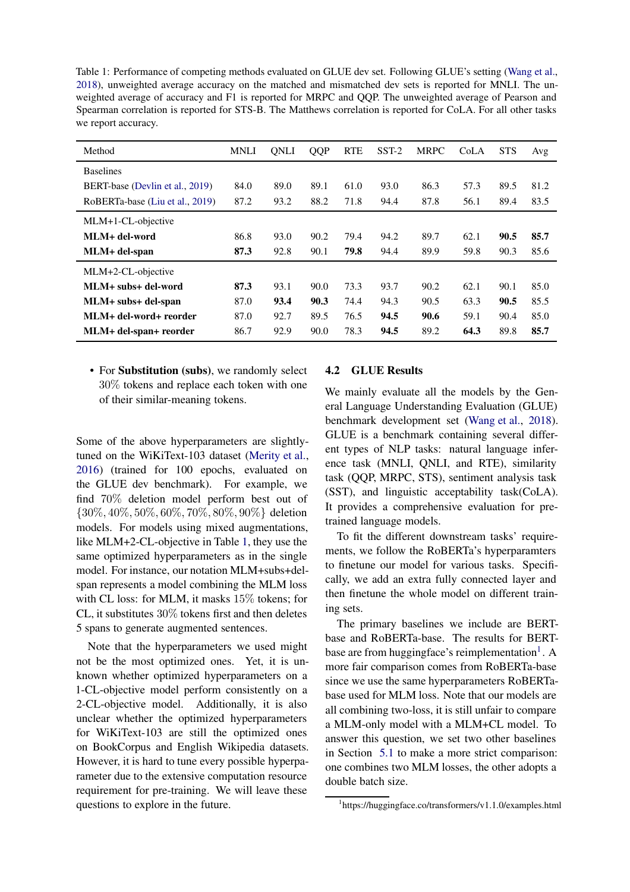<span id="page-5-0"></span>Table 1: Performance of competing methods evaluated on GLUE dev set. Following GLUE's setting [\(Wang et al.](#page-9-3), [2018\)](#page-9-3), unweighted average accuracy on the matched and mismatched dev sets is reported for MNLI. The unweighted average of accuracy and F1 is reported for MRPC and QQP. The unweighted average of Pearson and Spearman correlation is reported for STS-B. The Matthews correlation is reported for CoLA. For all other tasks we report accuracy.

| Method                          | <b>MNLI</b> | <b>ONLI</b> | QQP  | <b>RTE</b> | $SST-2$ | <b>MRPC</b> | CoLA | <b>STS</b> | Avg  |
|---------------------------------|-------------|-------------|------|------------|---------|-------------|------|------------|------|
| <b>Baselines</b>                |             |             |      |            |         |             |      |            |      |
| BERT-base (Devlin et al., 2019) | 84.0        | 89.0        | 89.1 | 61.0       | 93.0    | 86.3        | 57.3 | 89.5       | 81.2 |
| RoBERTa-base (Liu et al., 2019) | 87.2        | 93.2        | 88.2 | 71.8       | 94.4    | 87.8        | 56.1 | 89.4       | 83.5 |
| MLM+1-CL-objective              |             |             |      |            |         |             |      |            |      |
| MLM+ del-word                   | 86.8        | 93.0        | 90.2 | 79.4       | 94.2    | 89.7        | 62.1 | 90.5       | 85.7 |
| MLM+ del-span                   | 87.3        | 92.8        | 90.1 | 79.8       | 94.4    | 89.9        | 59.8 | 90.3       | 85.6 |
| MLM+2-CL-objective              |             |             |      |            |         |             |      |            |      |
| MLM+ subs+ del-word             | 87.3        | 93.1        | 90.0 | 73.3       | 93.7    | 90.2        | 62.1 | 90.1       | 85.0 |
| MLM+ subs+ del-span             | 87.0        | 93.4        | 90.3 | 74.4       | 94.3    | 90.5        | 63.3 | 90.5       | 85.5 |
| MLM+ del-word+ reorder          | 87.0        | 92.7        | 89.5 | 76.5       | 94.5    | 90.6        | 59.1 | 90.4       | 85.0 |
| MLM+ del-span+ reorder          | 86.7        | 92.9        | 90.0 | 78.3       | 94.5    | 89.2        | 64.3 | 89.8       | 85.7 |

• For Substitution (subs), we randomly select 30% tokens and replace each token with one of their similar-meaning tokens.

Some of the above hyperparameters are slightlytuned on the WiKiText-103 dataset [\(Merity et al.,](#page-8-18) [2016\)](#page-8-18) (trained for 100 epochs, evaluated on the GLUE dev benchmark). For example, we find 70% deletion model perform best out of {30%, 40%, 50%, 60%, 70%, 80%, 90%} deletion models. For models using mixed augmentations, like MLM+2-CL-objective in Table [1,](#page-5-0) they use the same optimized hyperparameters as in the single model. For instance, our notation MLM+subs+delspan represents a model combining the MLM loss with CL loss: for MLM, it masks 15% tokens; for CL, it substitutes 30% tokens first and then deletes 5 spans to generate augmented sentences.

Note that the hyperparameters we used might not be the most optimized ones. Yet, it is unknown whether optimized hyperparameters on a 1-CL-objective model perform consistently on a 2-CL-objective model. Additionally, it is also unclear whether the optimized hyperparameters for WiKiText-103 are still the optimized ones on BookCorpus and English Wikipedia datasets. However, it is hard to tune every possible hyperparameter due to the extensive computation resource requirement for pre-training. We will leave these questions to explore in the future.

## 4.2 GLUE Results

We mainly evaluate all the models by the General Language Understanding Evaluation (GLUE) benchmark development set [\(Wang et al.,](#page-9-3) [2018](#page-9-3)). GLUE is a benchmark containing several different types of NLP tasks: natural language inference task (MNLI, QNLI, and RTE), similarity task (QQP, MRPC, STS), sentiment analysis task (SST), and linguistic acceptability task(CoLA). It provides a comprehensive evaluation for pretrained language models.

To fit the different downstream tasks' requirements, we follow the RoBERTa's hyperparamters to finetune our model for various tasks. Specifically, we add an extra fully connected layer and then finetune the whole model on different training sets.

The primary baselines we include are BERTbase and RoBERTa-base. The results for BERT-base are from huggingface's reimplementation<sup>[1](#page-5-1)</sup>. A more fair comparison comes from RoBERTa-base since we use the same hyperparameters RoBERTabase used for MLM loss. Note that our models are all combining two-loss, it is still unfair to compare a MLM-only model with a MLM+CL model. To answer this question, we set two other baselines in Section [5.1](#page-7-0) to make a more strict comparison: one combines two MLM losses, the other adopts a double batch size.

<span id="page-5-1"></span><sup>1</sup> https://huggingface.co/transformers/v1.1.0/examples.html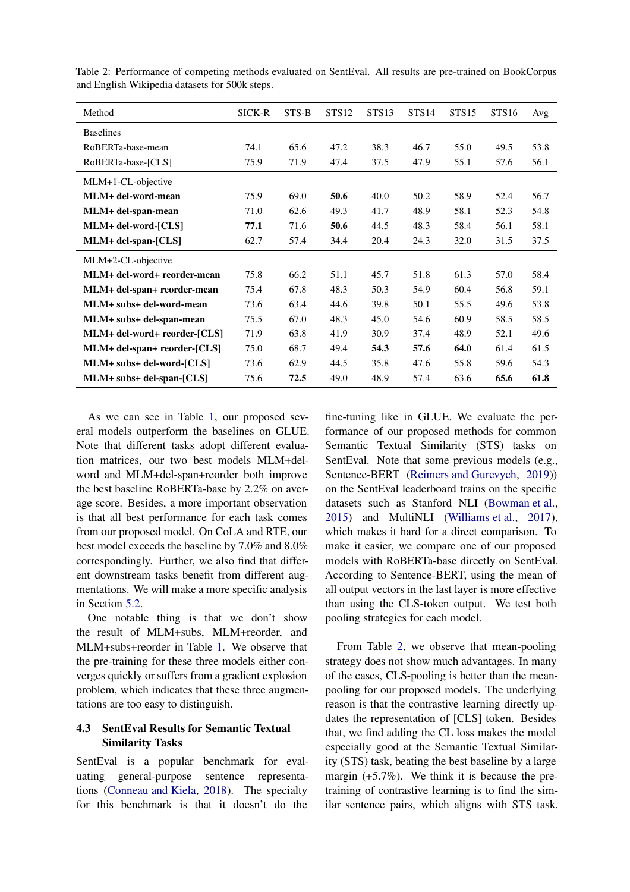| Method                       | SICK-R | STS-B | STS <sub>12</sub> | STS <sub>13</sub> | STS <sub>14</sub> | <b>STS15</b> | <b>STS16</b> | Avg  |
|------------------------------|--------|-------|-------------------|-------------------|-------------------|--------------|--------------|------|
| <b>Baselines</b>             |        |       |                   |                   |                   |              |              |      |
| RoBERTa-base-mean            | 74.1   | 65.6  | 47.2              | 38.3              | 46.7              | 55.0         | 49.5         | 53.8 |
| RoBERTa-base-[CLS]           | 75.9   | 71.9  | 47.4              | 37.5              | 47.9              | 55.1         | 57.6         | 56.1 |
| MLM+1-CL-objective           |        |       |                   |                   |                   |              |              |      |
| MLM+ del-word-mean           | 75.9   | 69.0  | 50.6              | 40.0              | 50.2              | 58.9         | 52.4         | 56.7 |
| MLM+ del-span-mean           | 71.0   | 62.6  | 49.3              | 41.7              | 48.9              | 58.1         | 52.3         | 54.8 |
| MLM+ del-word-[CLS]          | 77.1   | 71.6  | 50.6              | 44.5              | 48.3              | 58.4         | 56.1         | 58.1 |
| MLM+ del-span-[CLS]          | 62.7   | 57.4  | 34.4              | 20.4              | 24.3              | 32.0         | 31.5         | 37.5 |
| MLM+2-CL-objective           |        |       |                   |                   |                   |              |              |      |
| MLM+ del-word+ reorder-mean  | 75.8   | 66.2  | 51.1              | 45.7              | 51.8              | 61.3         | 57.0         | 58.4 |
| MLM+ del-span+ reorder-mean  | 75.4   | 67.8  | 48.3              | 50.3              | 54.9              | 60.4         | 56.8         | 59.1 |
| MLM+ subs+ del-word-mean     | 73.6   | 63.4  | 44.6              | 39.8              | 50.1              | 55.5         | 49.6         | 53.8 |
| MLM+ subs+ del-span-mean     | 75.5   | 67.0  | 48.3              | 45.0              | 54.6              | 60.9         | 58.5         | 58.5 |
| MLM+ del-word+ reorder-[CLS] | 71.9   | 63.8  | 41.9              | 30.9              | 37.4              | 48.9         | 52.1         | 49.6 |
| MLM+ del-span+ reorder-[CLS] | 75.0   | 68.7  | 49.4              | 54.3              | 57.6              | 64.0         | 61.4         | 61.5 |
| MLM+ subs+ del-word-[CLS]    | 73.6   | 62.9  | 44.5              | 35.8              | 47.6              | 55.8         | 59.6         | 54.3 |
| MLM+ subs+ del-span-[CLS]    | 75.6   | 72.5  | 49.0              | 48.9              | 57.4              | 63.6         | 65.6         | 61.8 |

<span id="page-6-0"></span>Table 2: Performance of competing methods evaluated on SentEval. All results are pre-trained on BookCorpus and English Wikipedia datasets for 500k steps.

As we can see in Table [1,](#page-5-0) our proposed several models outperform the baselines on GLUE. Note that different tasks adopt different evaluation matrices, our two best models MLM+delword and MLM+del-span+reorder both improve the best baseline RoBERTa-base by 2.2% on average score. Besides, a more important observation is that all best performance for each task comes from our proposed model. On CoLA and RTE, our best model exceeds the baseline by 7.0% and 8.0% correspondingly. Further, we also find that different downstream tasks benefit from different augmentations. We will make a more specific analysis in Section [5.2.](#page-7-1)

One notable thing is that we don't show the result of MLM+subs, MLM+reorder, and MLM+subs+reorder in Table [1.](#page-5-0) We observe that the pre-training for these three models either converges quickly or suffers from a gradient explosion problem, which indicates that these three augmentations are too easy to distinguish.

## 4.3 SentEval Results for Semantic Textual Similarity Tasks

SentEval is a popular benchmark for evaluating general-purpose sentence representations [\(Conneau and Kiela](#page-8-9), [2018](#page-8-9)). The specialty for this benchmark is that it doesn't do the

fine-tuning like in GLUE. We evaluate the performance of our proposed methods for common Semantic Textual Similarity (STS) tasks on SentEval. Note that some previous models (e.g., Sentence-BERT [\(Reimers and Gurevych,](#page-9-0) [2019](#page-9-0))) on the SentEval leaderboard trains on the specific datasets such as Stanford NLI [\(Bowman et al.](#page-8-19), [2015](#page-8-19)) and MultiNLI [\(Williams et al.](#page-9-11), [2017](#page-9-11)), which makes it hard for a direct comparison. To make it easier, we compare one of our proposed models with RoBERTa-base directly on SentEval. According to Sentence-BERT, using the mean of all output vectors in the last layer is more effective than using the CLS-token output. We test both pooling strategies for each model.

From Table [2,](#page-6-0) we observe that mean-pooling strategy does not show much advantages. In many of the cases, CLS-pooling is better than the meanpooling for our proposed models. The underlying reason is that the contrastive learning directly updates the representation of [CLS] token. Besides that, we find adding the CL loss makes the model especially good at the Semantic Textual Similarity (STS) task, beating the best baseline by a large margin (+5.7%). We think it is because the pretraining of contrastive learning is to find the similar sentence pairs, which aligns with STS task.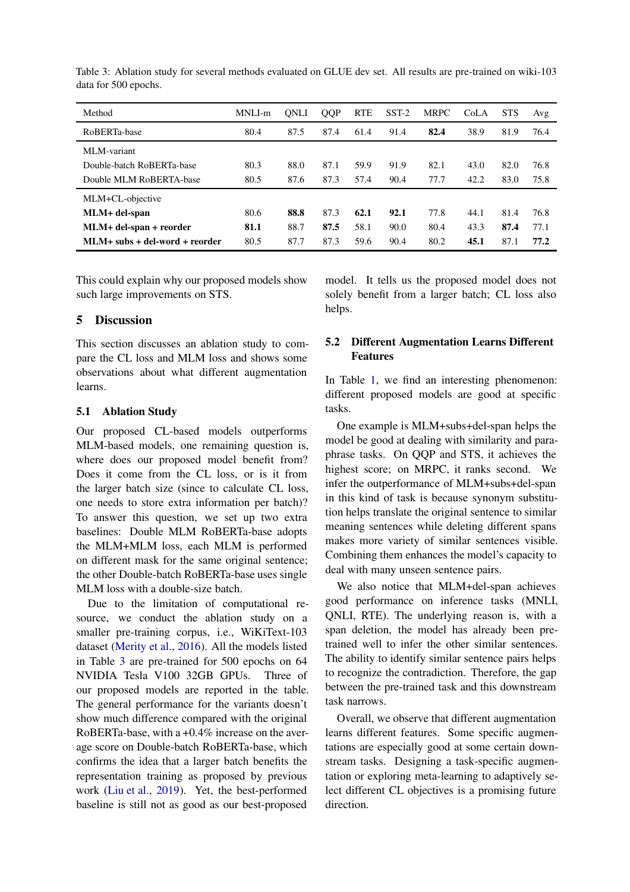| Method                           | MNLI-m | ONLI | <b>QQP</b> | <b>RTE</b> | $SST-2$ | <b>MRPC</b> | CoLA | <b>STS</b> | Avg  |
|----------------------------------|--------|------|------------|------------|---------|-------------|------|------------|------|
| RoBERTa-base                     | 80.4   | 87.5 | 87.4       | 61.4       | 91.4    | 82.4        | 38.9 | 81.9       | 76.4 |
| MLM-variant                      |        |      |            |            |         |             |      |            |      |
| Double-batch RoBERTa-base        | 80.3   | 88.0 | 87.1       | 59.9       | 91.9    | 82.1        | 43.0 | 82.0       | 76.8 |
| Double MLM RoBERTA-base          | 80.5   | 87.6 | 87.3       | 57.4       | 90.4    | 77.7        | 42.2 | 83.0       | 75.8 |
| MLM+CL-objective                 |        |      |            |            |         |             |      |            |      |
| MLM+ del-span                    | 80.6   | 88.8 | 87.3       | 62.1       | 92.1    | 77.8        | 44.1 | 81.4       | 76.8 |
| MLM+ del-span + reorder          | 81.1   | 88.7 | 87.5       | 58.1       | 90.0    | 80.4        | 43.3 | 87.4       | 77.1 |
| $MLM+$ subs + del-word + reorder | 80.5   | 87.7 | 87.3       | 59.6       | 90.4    | 80.2        | 45.1 | 87.1       | 77.2 |

<span id="page-7-2"></span>Table 3: Ablation study for several methods evaluated on GLUE dev set. All results are pre-trained on wiki-103 data for 500 epochs.

This could explain why our proposed models show such large improvements on STS.

## 5 Discussion

This section discusses an ablation study to compare the CL loss and MLM loss and shows some observations about what different augmentation learns.

## <span id="page-7-0"></span>5.1 Ablation Study

Our proposed CL-based models outperforms MLM-based models, one remaining question is, where does our proposed model benefit from? Does it come from the CL loss, or is it from the larger batch size (since to calculate CL loss, one needs to store extra information per batch)? To answer this question, we set up two extra baselines: Double MLM RoBERTa-base adopts the MLM+MLM loss, each MLM is performed on different mask for the same original sentence; the other Double-batch RoBERTa-base uses single MLM loss with a double-size batch.

Due to the limitation of computational resource, we conduct the ablation study on a smaller pre-training corpus, i.e., WiKiText-103 dataset [\(Merity et al.](#page-8-18), [2016](#page-8-18)). All the models listed in Table [3](#page-7-2) are pre-trained for 500 epochs on 64 NVIDIA Tesla V100 32GB GPUs. Three of our proposed models are reported in the table. The general performance for the variants doesn't show much difference compared with the original RoBERTa-base, with a +0.4% increase on the average score on Double-batch RoBERTa-base, which confirms the idea that a larger batch benefits the representation training as proposed by previous work [\(Liu et al.,](#page-8-6) [2019](#page-8-6)). Yet, the best-performed baseline is still not as good as our best-proposed

model. It tells us the proposed model does not solely benefit from a larger batch; CL loss also helps.

# <span id="page-7-1"></span>5.2 Different Augmentation Learns Different Features

In Table [1,](#page-5-0) we find an interesting phenomenon: different proposed models are good at specific tasks.

One example is MLM+subs+del-span helps the model be good at dealing with similarity and paraphrase tasks. On QQP and STS, it achieves the highest score; on MRPC, it ranks second. We infer the outperformance of MLM+subs+del-span in this kind of task is because synonym substitution helps translate the original sentence to similar meaning sentences while deleting different spans makes more variety of similar sentences visible. Combining them enhances the model's capacity to deal with many unseen sentence pairs.

We also notice that MLM+del-span achieves good performance on inference tasks (MNLI, QNLI, RTE). The underlying reason is, with a span deletion, the model has already been pretrained well to infer the other similar sentences. The ability to identify similar sentence pairs helps to recognize the contradiction. Therefore, the gap between the pre-trained task and this downstream task narrows.

Overall, we observe that different augmentation learns different features. Some specific augmentations are especially good at some certain downstream tasks. Designing a task-specific augmentation or exploring meta-learning to adaptively select different CL objectives is a promising future direction.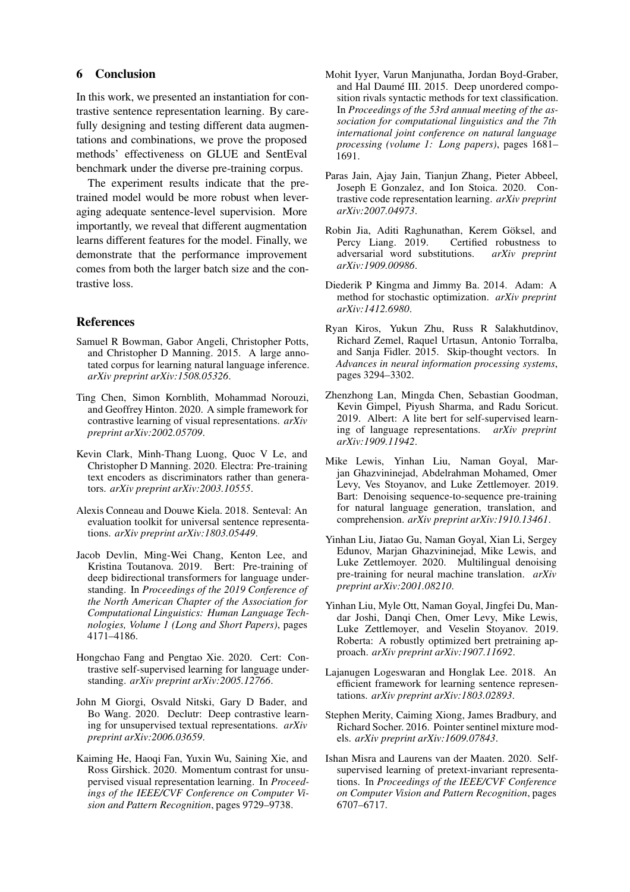## 6 Conclusion

In this work, we presented an instantiation for contrastive sentence representation learning. By carefully designing and testing different data augmentations and combinations, we prove the proposed methods' effectiveness on GLUE and SentEval benchmark under the diverse pre-training corpus.

The experiment results indicate that the pretrained model would be more robust when leveraging adequate sentence-level supervision. More importantly, we reveal that different augmentation learns different features for the model. Finally, we demonstrate that the performance improvement comes from both the larger batch size and the contrastive loss.

### References

- <span id="page-8-19"></span>Samuel R Bowman, Gabor Angeli, Christopher Potts, and Christopher D Manning. 2015. A large annotated corpus for learning natural language inference. *arXiv preprint arXiv:1508.05326*.
- <span id="page-8-2"></span>Ting Chen, Simon Kornblith, Mohammad Norouzi, and Geoffrey Hinton. 2020. A simple framework for contrastive learning of visual representations. *arXiv preprint arXiv:2002.05709*.
- <span id="page-8-14"></span>Kevin Clark, Minh-Thang Luong, Quoc V Le, and Christopher D Manning. 2020. Electra: Pre-training text encoders as discriminators rather than generators. *arXiv preprint arXiv:2003.10555*.
- <span id="page-8-9"></span>Alexis Conneau and Douwe Kiela. 2018. Senteval: An evaluation toolkit for universal sentence representations. *arXiv preprint arXiv:1803.05449*.
- <span id="page-8-0"></span>Jacob Devlin, Ming-Wei Chang, Kenton Lee, and Kristina Toutanova. 2019. Bert: Pre-training of deep bidirectional transformers for language understanding. In *Proceedings of the 2019 Conference of the North American Chapter of the Association for Computational Linguistics: Human Language Technologies, Volume 1 (Long and Short Papers)*, pages 4171–4186.
- <span id="page-8-5"></span>Hongchao Fang and Pengtao Xie. 2020. Cert: Contrastive self-supervised learning for language understanding. *arXiv preprint arXiv:2005.12766*.
- <span id="page-8-4"></span>John M Giorgi, Osvald Nitski, Gary D Bader, and Bo Wang. 2020. Declutr: Deep contrastive learning for unsupervised textual representations. *arXiv preprint arXiv:2006.03659*.
- <span id="page-8-1"></span>Kaiming He, Haoqi Fan, Yuxin Wu, Saining Xie, and Ross Girshick. 2020. Momentum contrast for unsupervised visual representation learning. In *Proceedings of the IEEE/CVF Conference on Computer Vision and Pattern Recognition*, pages 9729–9738.
- <span id="page-8-10"></span>Mohit Iyyer, Varun Manjunatha, Jordan Boyd-Graber, and Hal Daumé III. 2015. Deep unordered composition rivals syntactic methods for text classification. In *Proceedings of the 53rd annual meeting of the association for computational linguistics and the 7th international joint conference on natural language processing (volume 1: Long papers)*, pages 1681– 1691.
- <span id="page-8-15"></span>Paras Jain, Ajay Jain, Tianjun Zhang, Pieter Abbeel, Joseph E Gonzalez, and Ion Stoica. 2020. Contrastive code representation learning. *arXiv preprint arXiv:2007.04973*.
- <span id="page-8-16"></span>Robin Jia, Aditi Raghunathan, Kerem Göksel, and Percy Liang. 2019. Certified robustness to adversarial word substitutions. *arXiv preprint arXiv:1909.00986*.
- <span id="page-8-17"></span>Diederik P Kingma and Jimmy Ba. 2014. Adam: A method for stochastic optimization. *arXiv preprint arXiv:1412.6980*.
- <span id="page-8-11"></span>Ryan Kiros, Yukun Zhu, Russ R Salakhutdinov, Richard Zemel, Raquel Urtasun, Antonio Torralba, and Sanja Fidler. 2015. Skip-thought vectors. In *Advances in neural information processing systems*, pages 3294–3302.
- <span id="page-8-8"></span>Zhenzhong Lan, Mingda Chen, Sebastian Goodman, Kevin Gimpel, Piyush Sharma, and Radu Soricut. 2019. Albert: A lite bert for self-supervised learning of language representations. *arXiv preprint arXiv:1909.11942*.
- <span id="page-8-7"></span>Mike Lewis, Yinhan Liu, Naman Goyal, Marjan Ghazvininejad, Abdelrahman Mohamed, Omer Levy, Ves Stoyanov, and Luke Zettlemoyer. 2019. Bart: Denoising sequence-to-sequence pre-training for natural language generation, translation, and comprehension. *arXiv preprint arXiv:1910.13461*.
- <span id="page-8-13"></span>Yinhan Liu, Jiatao Gu, Naman Goyal, Xian Li, Sergey Edunov, Marjan Ghazvininejad, Mike Lewis, and Luke Zettlemoyer. 2020. Multilingual denoising pre-training for neural machine translation. *arXiv preprint arXiv:2001.08210*.
- <span id="page-8-6"></span>Yinhan Liu, Myle Ott, Naman Goyal, Jingfei Du, Mandar Joshi, Danqi Chen, Omer Levy, Mike Lewis, Luke Zettlemoyer, and Veselin Stoyanov. 2019. Roberta: A robustly optimized bert pretraining approach. *arXiv preprint arXiv:1907.11692*.
- <span id="page-8-12"></span>Lajanugen Logeswaran and Honglak Lee. 2018. An efficient framework for learning sentence representations. *arXiv preprint arXiv:1803.02893*.
- <span id="page-8-18"></span>Stephen Merity, Caiming Xiong, James Bradbury, and Richard Socher. 2016. Pointer sentinel mixture models. *arXiv preprint arXiv:1609.07843*.
- <span id="page-8-3"></span>Ishan Misra and Laurens van der Maaten. 2020. Selfsupervised learning of pretext-invariant representations. In *Proceedings of the IEEE/CVF Conference on Computer Vision and Pattern Recognition*, pages 6707–6717.